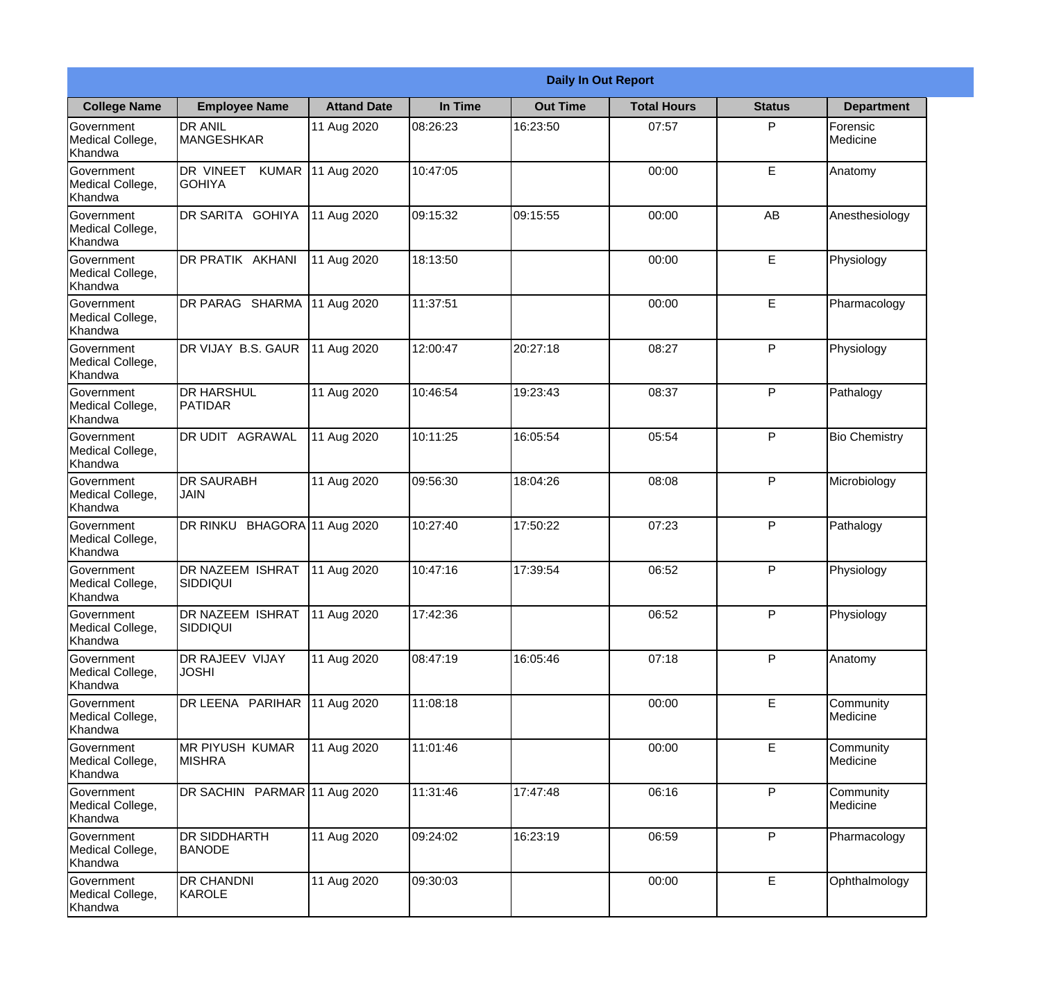|                                                  | <b>Daily In Out Report</b>                 |                     |          |                 |                    |               |                       |  |
|--------------------------------------------------|--------------------------------------------|---------------------|----------|-----------------|--------------------|---------------|-----------------------|--|
| <b>College Name</b>                              | <b>Employee Name</b>                       | <b>Attand Date</b>  | In Time  | <b>Out Time</b> | <b>Total Hours</b> | <b>Status</b> | <b>Department</b>     |  |
| Government<br>Medical College,<br>Khandwa        | <b>DR ANIL</b><br><b>MANGESHKAR</b>        | 11 Aug 2020         | 08:26:23 | 16:23:50        | 07:57              | P             | Forensic<br>Medicine  |  |
| Government<br>Medical College,<br>Khandwa        | DR VINEET<br><b>KUMAR</b><br><b>GOHIYA</b> | 11 Aug 2020         | 10:47:05 |                 | 00:00              | E             | Anatomy               |  |
| Government<br>Medical College,<br>Khandwa        | DR SARITA GOHIYA                           | 11 Aug 2020         | 09:15:32 | 09:15:55        | 00:00              | AB            | Anesthesiology        |  |
| Government<br>Medical College,<br>Khandwa        | <b>DR PRATIK AKHANI</b>                    | 11 Aug 2020         | 18:13:50 |                 | 00:00              | E             | Physiology            |  |
| Government<br>Medical College,<br>Khandwa        | DR PARAG SHARMA                            | 11 Aug 2020         | 11:37:51 |                 | 00:00              | E             | Pharmacology          |  |
| Government<br>Medical College,<br>Khandwa        | DR VIJAY B.S. GAUR                         | 11 Aug 2020         | 12:00:47 | 20:27:18        | 08:27              | P             | Physiology            |  |
| <b>Government</b><br>Medical College,<br>Khandwa | IDR HARSHUL<br><b>PATIDAR</b>              | 11 Aug 2020         | 10:46:54 | 19:23:43        | 08:37              | P             | Pathalogy             |  |
| Government<br>Medical College,<br>Khandwa        | <b>DR UDIT AGRAWAL</b>                     | 11 Aug 2020         | 10:11:25 | 16:05:54        | 05:54              | P             | <b>Bio Chemistry</b>  |  |
| Government<br>Medical College,<br>Khandwa        | <b>DR SAURABH</b><br><b>JAIN</b>           | 11 Aug 2020         | 09:56:30 | 18:04:26        | 08:08              | P             | Microbiology          |  |
| Government<br>Medical College,<br>Khandwa        | DR RINKU                                   | BHAGORA 11 Aug 2020 | 10:27:40 | 17:50:22        | 07:23              | P             | Pathalogy             |  |
| Government<br>Medical College,<br>Khandwa        | <b>DR NAZEEM ISHRAT</b><br>SIDDIQUI        | 11 Aug 2020         | 10:47:16 | 17:39:54        | 06:52              | $\mathsf{P}$  | Physiology            |  |
| Government<br>Medical College,<br>Khandwa        | DR NAZEEM ISHRAT<br><b>SIDDIQUI</b>        | 11 Aug 2020         | 17:42:36 |                 | 06:52              | P             | Physiology            |  |
| Government<br>Medical College,<br>Khandwa        | DR RAJEEV VIJAY<br><b>JOSHI</b>            | 11 Aug 2020         | 08:47:19 | 16:05:46        | 07:18              | P             | Anatomy               |  |
| Government<br>Medical College,<br>Khandwa        | DR LEENA PARIHAR                           | 11 Aug 2020         | 11:08:18 |                 | 00:00              | E             | Community<br>Medicine |  |
| Government<br>Medical College,<br>Khandwa        | <b>MR PIYUSH KUMAR</b><br><b>MISHRA</b>    | 11 Aug 2020         | 11:01:46 |                 | 00:00              | E             | Community<br>Medicine |  |
| Government<br>Medical College,<br>Khandwa        | DR SACHIN PARMAR 11 Aug 2020               |                     | 11:31:46 | 17:47:48        | 06:16              | P             | Community<br>Medicine |  |
| Government<br>Medical College,<br>Khandwa        | <b>DR SIDDHARTH</b><br><b>BANODE</b>       | 11 Aug 2020         | 09:24:02 | 16:23:19        | 06:59              | P             | Pharmacology          |  |
| Government<br>Medical College,<br>Khandwa        | <b>DR CHANDNI</b><br>KAROLE                | 11 Aug 2020         | 09:30:03 |                 | 00:00              | E             | Ophthalmology         |  |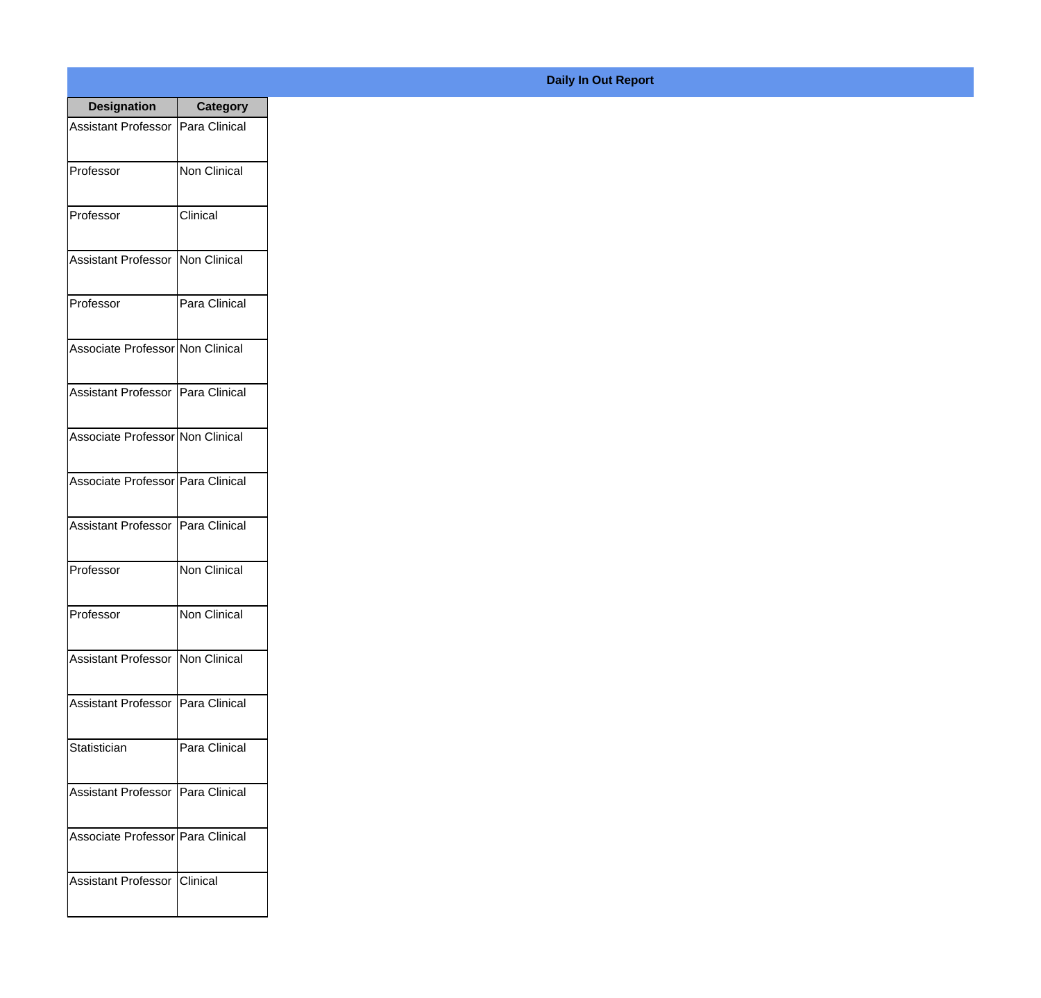| <b>Designation</b>                  | <b>Category</b>     |
|-------------------------------------|---------------------|
| <b>Assistant Professor</b>          | Para Clinical       |
| Professor                           | <b>Non Clinical</b> |
| Professor                           | Clinical            |
| Assistant Professor                 | Non Clinical        |
| Professor                           | Para Clinical       |
| Associate Professor Non Clinical    |                     |
| Assistant Professor   Para Clinical |                     |
| Associate Professor Non Clinical    |                     |
| Associate Professor Para Clinical   |                     |
| Assistant Professor                 | Para Clinical       |
| Professor                           | Non Clinical        |
| Professor                           | Non Clinical        |
| <b>Assistant Professor</b>          | Non Clinical        |
| <b>Assistant Professor</b>          | Para Clinical       |
| Statistician                        | Para Clinical       |
| <b>Assistant Professor</b>          | Para Clinical       |
| Associate Professor   Para Clinical |                     |
| <b>Assistant Professor</b>          | Clinical            |

## **Daily In Out Report**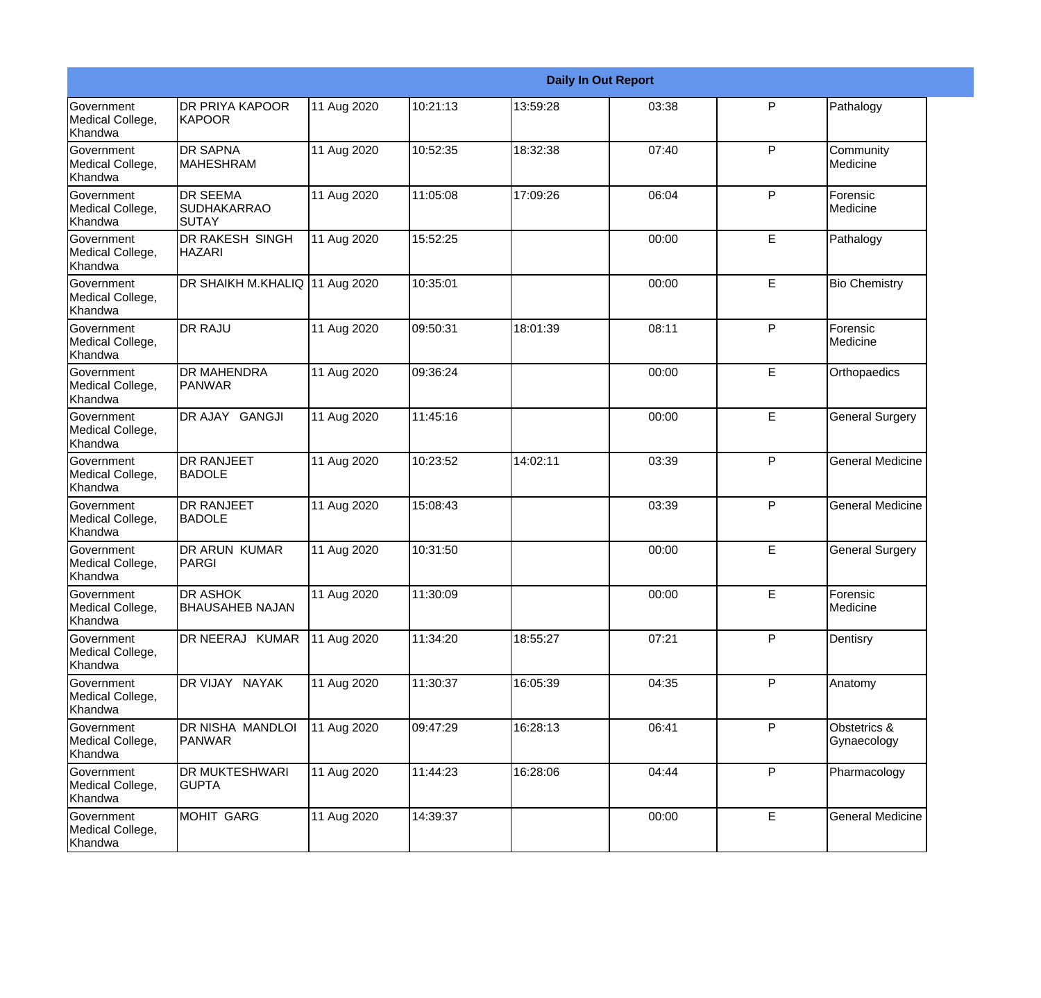|                                                  |                                                       |             |          |          | <b>Daily In Out Report</b> |   |                             |
|--------------------------------------------------|-------------------------------------------------------|-------------|----------|----------|----------------------------|---|-----------------------------|
| Government<br>Medical College,<br>Khandwa        | <b>DR PRIYA KAPOOR</b><br><b>KAPOOR</b>               | 11 Aug 2020 | 10:21:13 | 13:59:28 | 03:38                      | P | Pathalogy                   |
| Government<br>Medical College,<br>Khandwa        | <b>DR SAPNA</b><br><b>MAHESHRAM</b>                   | 11 Aug 2020 | 10:52:35 | 18:32:38 | 07:40                      | P | Community<br>Medicine       |
| Government<br>Medical College,<br>Khandwa        | <b>DR SEEMA</b><br><b>SUDHAKARRAO</b><br><b>SUTAY</b> | 11 Aug 2020 | 11:05:08 | 17:09:26 | 06:04                      | P | Forensic<br>Medicine        |
| Government<br>Medical College,<br>Khandwa        | <b>DR RAKESH SINGH</b><br><b>HAZARI</b>               | 11 Aug 2020 | 15:52:25 |          | 00:00                      | E | Pathalogy                   |
| Government<br>Medical College,<br>Khandwa        | DR SHAIKH M.KHALIQ 11 Aug 2020                        |             | 10:35:01 |          | 00:00                      | E | <b>Bio Chemistry</b>        |
| Government<br>Medical College,<br>Khandwa        | <b>DR RAJU</b>                                        | 11 Aug 2020 | 09:50:31 | 18:01:39 | 08:11                      | P | Forensic<br>Medicine        |
| Government<br>Medical College,<br>Khandwa        | <b>DR MAHENDRA</b><br><b>PANWAR</b>                   | 11 Aug 2020 | 09:36:24 |          | 00:00                      | E | Orthopaedics                |
| Government<br>Medical College,<br>Khandwa        | DR AJAY GANGJI                                        | 11 Aug 2020 | 11:45:16 |          | 00:00                      | E | <b>General Surgery</b>      |
| <b>Government</b><br>Medical College,<br>Khandwa | <b>DR RANJEET</b><br><b>BADOLE</b>                    | 11 Aug 2020 | 10:23:52 | 14:02:11 | 03:39                      | P | <b>General Medicine</b>     |
| Government<br>Medical College,<br>Khandwa        | <b>DR RANJEET</b><br><b>BADOLE</b>                    | 11 Aug 2020 | 15:08:43 |          | 03:39                      | P | <b>General Medicine</b>     |
| <b>Government</b><br>Medical College,<br>Khandwa | <b>DR ARUN KUMAR</b><br>PARGI                         | 11 Aug 2020 | 10:31:50 |          | 00:00                      | E | <b>General Surgery</b>      |
| Government<br>Medical College,<br>Khandwa        | <b>DR ASHOK</b><br><b>BHAUSAHEB NAJAN</b>             | 11 Aug 2020 | 11:30:09 |          | 00:00                      | E | Forensic<br>Medicine        |
| Government<br>Medical College,<br>Khandwa        | DR NEERAJ KUMAR                                       | 11 Aug 2020 | 11:34:20 | 18:55:27 | 07:21                      | P | Dentisry                    |
| Government<br>Medical College,<br>Khandwa        | DR VIJAY NAYAK                                        | 11 Aug 2020 | 11:30:37 | 16:05:39 | 04:35                      | P | Anatomy                     |
| Government<br>Medical College,<br>Khandwa        | DR NISHA MANDLOI<br>PANWAR                            | 11 Aug 2020 | 09:47:29 | 16:28:13 | 06:41                      | P | Obstetrics &<br>Gynaecology |
| Government<br>Medical College,<br>Khandwa        | DR MUKTESHWARI<br><b>GUPTA</b>                        | 11 Aug 2020 | 11:44:23 | 16:28:06 | 04:44                      | P | Pharmacology                |
| Government<br>Medical College,<br>Khandwa        | <b>MOHIT GARG</b>                                     | 11 Aug 2020 | 14:39:37 |          | 00:00                      | E | <b>General Medicine</b>     |